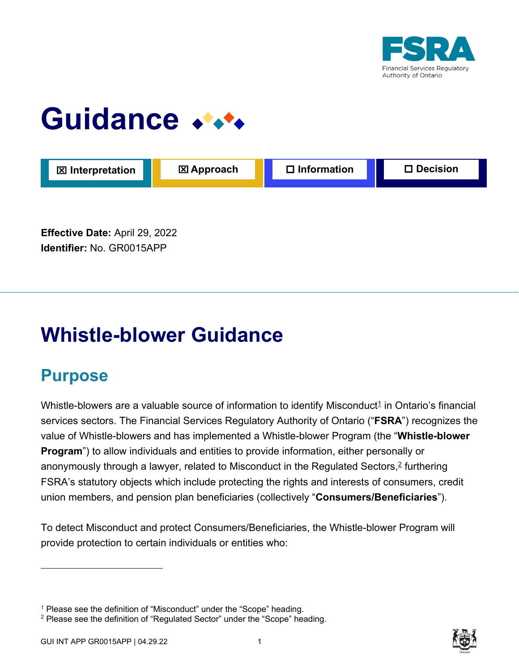

# Guidance \*\*\*

| <b>区</b> Interpretation | <b>区 Approach</b> | $\Box$ Information | $\square$ Decision |
|-------------------------|-------------------|--------------------|--------------------|
|                         |                   |                    |                    |

**Effective Date:** April 29, 2022 **Identifier:** No. GR0015APP

# **Whistle-blower Guidance**

# **Purpose**

Whistle-blowers are a valuable source of information to identify Misconduct $^{\text{1}}$  in Ontario's financial services sectors. The Financial Services Regulatory Authority of Ontario ("**FSRA**") recognizes the value of Whistle-blowers and has implemented a Whistle-blower Program (the "**Whistle-blower Program**") to allow individuals and entities to provide information, either personally or anonymously through a lawyer, related to Misconduct in the Regulated Sectors,<sup>2</sup> furthering FSRA's statutory objects which include protecting the rights and interests of consumers, credit union members, and pension plan beneficiaries (collectively "**Consumers/Beneficiaries**").

To detect Misconduct and protect Consumers/Beneficiaries, the Whistle-blower Program will provide protection to certain individuals or entities who:



<sup>&</sup>lt;sup>1</sup> Please see the definition of "Misconduct" under the "Scope" heading.

 $2$  Please see the definition of "Regulated Sector" under the "Scope" heading.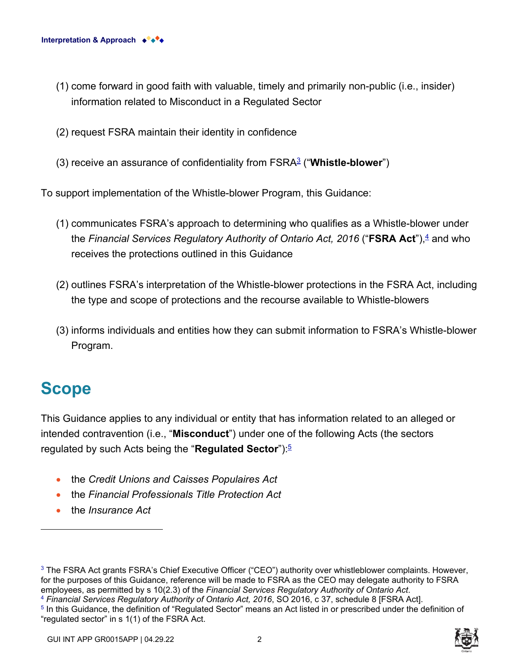- (1) come forward in good faith with valuable, timely and primarily non-public (i.e., insider) information related to Misconduct in a Regulated Sector
- (2) request FSRA maintain their identity in confidence
- (3) receive an assurance of confidentiality from FSRA<sup>3</sup> ("**Whistle-blower**")

To support implementation of the Whistle-blower Program, this Guidance:

- (1) communicates FSRA's approach to determining who qualifies as a Whistle-blower under the *Financial Services Regulatory Authority of Ontario Act, 2016* ("**FSRA Act**"),<del><sup>1</sup></del> and who receives the protections outlined in this Guidance
- (2) outlines FSRA's interpretation of the Whistle-blower protections in the FSRA Act, including the type and scope of protections and the recourse available to Whistle-blowers
- (3) informs individuals and entities how they can submit information to FSRA's Whistle-blower Program.

# **Scope**

This Guidance applies to any individual or entity that has information related to an alleged or intended contravention (i.e., "**Misconduct**") under one of the following Acts (the sectors regulated by such Acts being the "**Regulated Sector**"): 5

- the *Credit Unions and Caisses Populaires Act*
- the *Financial Professionals Title Protection Act*
- the *Insurance Act*

<sup>3</sup> The FSRA Act grants FSRA's Chief Executive Officer ("CEO") authority over whistleblower complaints. However, for the purposes of this Guidance, reference will be made to FSRA as the CEO may delegate authority to FSRA employees, as permitted by s 10(2.3) of the *Financial Services Regulatory Authority of Ontario Act*. <sup>4</sup> *Financial Services Regulatory Authority of Ontario Act, 2016*, SO 2016, c 37, schedule 8 [FSRA Act].

5 In this Guidance, the definition of "Regulated Sector" means an Act listed in or prescribed under the definition of "regulated sector" in s 1(1) of the FSRA Act.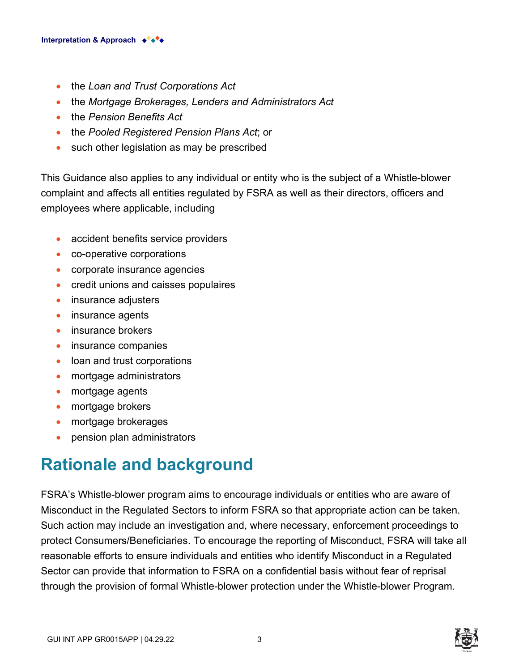- the *Loan and Trust Corporations Act*
- the *Mortgage Brokerages, Lenders and Administrators Act*
- the *Pension Benefits Act*
- the *Pooled Registered Pension Plans Act*; or
- such other legislation as may be prescribed

This Guidance also applies to any individual or entity who is the subject of a Whistle-blower complaint and affects all entities regulated by FSRA as well as their directors, officers and employees where applicable, including:

- accident benefits service providers
- co-operative corporations
- corporate insurance agencies
- credit unions and caisses populaires
- insurance adjusters
- insurance agents
- insurance brokers
- insurance companies
- loan and trust corporations
- mortgage administrators
- mortgage agents
- mortgage brokers
- mortgage brokerages
- pension plan administrators

# **Rationale and background**

FSRA's Whistle-blower program aims to encourage individuals or entities who are aware of Misconduct in the Regulated Sectors to inform FSRA so that appropriate action can be taken. Such action may include an investigation and, where necessary, enforcement proceedings to protect Consumers/Beneficiaries. To encourage the reporting of Misconduct, FSRA will take all reasonable efforts to ensure individuals and entities who identify Misconduct in a Regulated Sector can provide that information to FSRA on a confidential basis without fear of reprisal through the provision of formal Whistle-blower protection under the Whistle-blower Program.



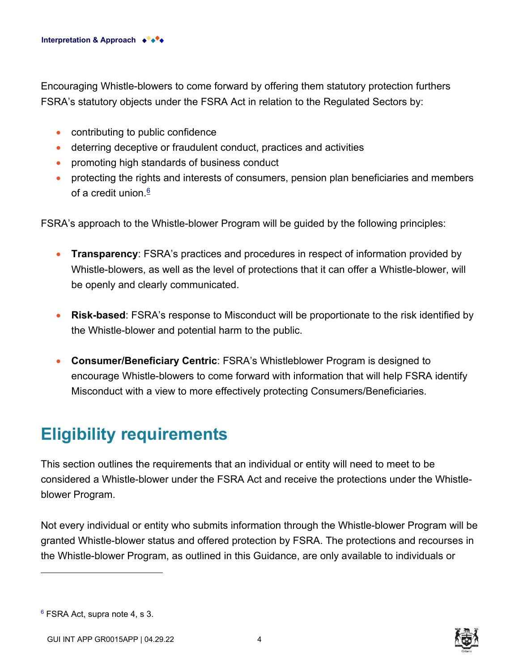Encouraging Whistle-blowers to come forward by offering them statutory protection furthers FSRA's statutory objects under the FSRA Act in relation to the Regulated Sectors by:

- contributing to public confidence
- deterring deceptive or fraudulent conduct, practices and activities
- promoting high standards of business conduct
- protecting the rights and interests of consumers, pension plan beneficiaries and members of a credit union  $6$

FSRA's approach to the Whistle-blower Program will be guided by the following principles:

- **Transparency**: FSRA's practices and procedures in respect of information provided by Whistle-blowers, as well as the level of protections that it can offer a Whistle-blower, will be openly and clearly communicated.
- **Risk-based**: FSRA's response to Misconduct will be proportionate to the risk identified by the Whistle-blower and potential harm to the public.
- **Consumer/Beneficiary Centric**: FSRA's Whistleblower Program is designed to encourage Whistle-blowers to come forward with information that will help FSRA identify Misconduct with a view to more effectively protecting Consumers/Beneficiaries.

# **Eligibility requirements**

This section outlines the requirements that an individual or entity will need to meet to be considered a Whistle-blower under the FSRA Act and receive the protections under the Whistleblower Program.

Not every individual or entity who submits information through the Whistle-blower Program will be granted Whistle-blower status and offered protection by FSRA. The protections and recourses in the Whistle-blower Program, as outlined in this Guidance, are only available to individuals or



<sup>6</sup> FSRA Act, supra note 4, s 3.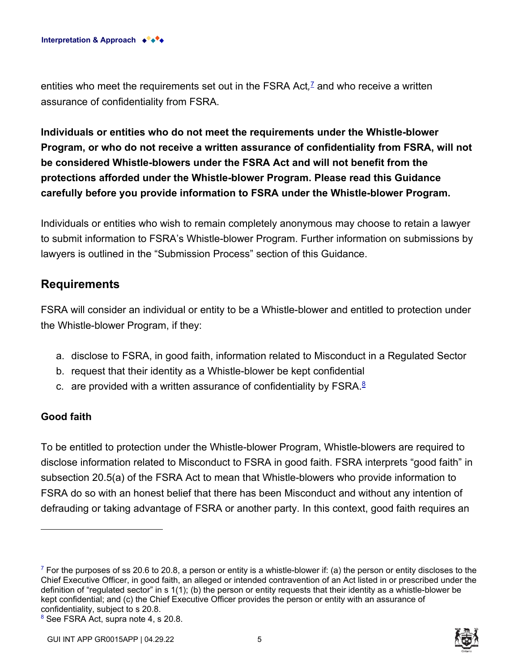entities who meet the requirements set out in the FSRA Act*,* 7 and who receive a written assurance of confidentiality from FSRA.

**Individuals or entities who do not meet the requirements under the Whistle-blower Program, or who do not receive a written assurance of confidentiality from FSRA, will not be considered Whistle-blowers under the FSRA Act and will not benefit from the protections afforded under the Whistle-blower Program. Please read this Guidance carefully before you provide information to FSRA under the Whistle-blower Program.** 

Individuals or entities who wish to remain completely anonymous may choose to retain a lawyer to submit information to FSRA's Whistle-blower Program. Further information on submissions by lawyers is outlined in the "Submission Process" section of this Guidance.

### **Requirements**

FSRA will consider an individual or entity to be a Whistle-blower and entitled to protection under the Whistle-blower Program, if they:

- a. disclose to FSRA, in good faith, information related to Misconduct in a Regulated Sector
- b. request that their identity as a Whistle-blower be kept confidential
- c. are provided with a written assurance of confidentiality by  $\mathsf{FSRA}$ .<sup>8</sup>

#### **Good faith**

To be entitled to protection under the Whistle-blower Program, Whistle-blowers are required to disclose information related to Misconduct to FSRA in good faith. FSRA interprets "good faith" in subsection 20.5(a) of the FSRA Act to mean that Whistle-blowers who provide information to FSRA do so with an honest belief that there has been Misconduct and without any intention of defrauding or taking advantage of FSRA or another party. In this context, good faith requires an



 $^7$  For the purposes of ss 20.6 to 20.8, a person or entity is a whistle-blower if: (a) the person or entity discloses to the Chief Executive Officer, in good faith, an alleged or intended contravention of an Act listed in or prescribed under the definition of "regulated sector" in s 1(1); (b) the person or entity requests that their identity as a whistle-blower be kept confidential; and (c) the Chief Executive Officer provides the person or entity with an assurance of confidentiality, subject to s 20.8.

<sup>8</sup> See FSRA Act, supra note 4, s 20.8.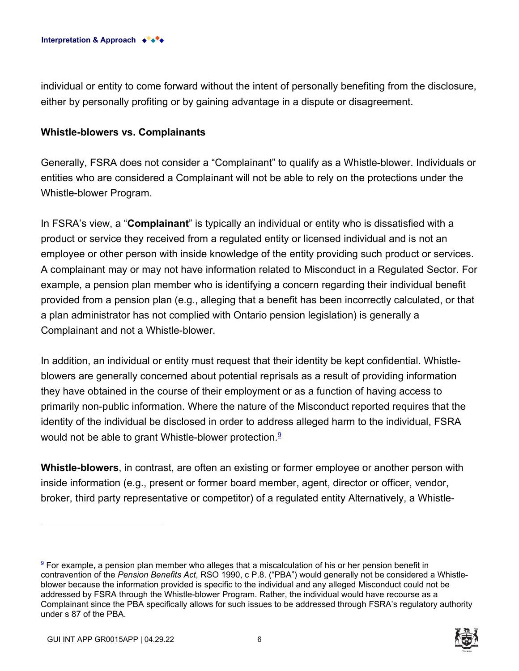

individual or entity to come forward without the intent of personally benefiting from the disclosure, either by personally profiting or by gaining advantage in a dispute or disagreement.

#### **Whistle-blowers vs. Complainants**

Generally, FSRA does not consider a "Complainant" to qualify as a Whistle-blower. Individuals or entities who are considered a Complainant will not be able to rely on the protections under the Whistle-blower Program.

In FSRA's view, a "**Complainant**" is typically an individual or entity who is dissatisfied with a product or service they received from a regulated entity or licensed individual and is not an employee or other person with inside knowledge of the entity providing such product or services. A complainant may or may not have information related to Misconduct in a Regulated Sector. For example, a pension plan member who is identifying a concern regarding their individual benefit provided from a pension plan (e.g., alleging that a benefit has been incorrectly calculated, or that a plan administrator has not complied with Ontario pension legislation) is generally a Complainant and not a Whistle-blower.

In addition, an individual or entity must request that their identity be kept confidential. Whistleblowers are generally concerned about potential reprisals as a result of providing information they have obtained in the course of their employment or as a function of having access to primarily non-public information. Where the nature of the Misconduct reported requires that the identity of the individual be disclosed in order to address alleged harm to the individual, FSRA would not be able to grant Whistle-blower protection. $9$ 

**Whistle-blowers**, in contrast, are often an existing or former employee or another person with inside information (e.g., present or former board member, agent, director or officer, vendor, broker, third party representative or competitor) of a regulated entity Alternatively, a Whistle-

 $^9$  For example, a pension plan member who alleges that a miscalculation of his or her pension benefit in  $\,$ contravention of the *Pension Benefits Act*, RSO 1990, c P.8. ("PBA") would generally not be considered a Whistleblower because the information provided is specific to the individual and any alleged Misconduct could not be addressed by FSRA through the Whistle-blower Program. Rather, the individual would have recourse as a Complainant since the PBA specifically allows for such issues to be addressed through FSRA's regulatory authority under s 87 of the PBA.

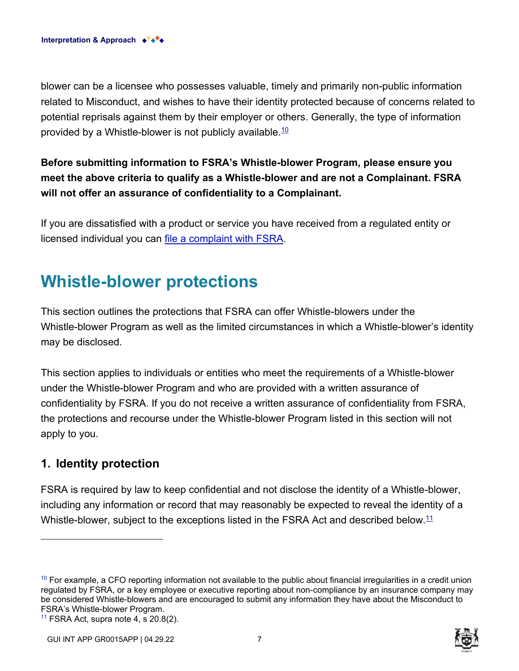blower can be a licensee who possesses valuable, timely and primarily non-public information related to Misconduct, and wishes to have their identity protected because of concerns related to potential reprisals against them by their employer or others. Generally, the type of information provided by a Whistle-blower is not publicly available.  $10$ 

# **Before submitting information to FSRA's Whistle-blower Program, please ensure you meet the above criteria to qualify as a Whistle-blower and are not a Complainant. FSRA will not offer an assurance of confidentiality to a Complainant.**

If you are dissatisfied with a product or service you have received from a regulated entity or licensed individual you can [file a complaint with FSRA.](https://www.fsrao.ca/submit-complaint-fsra)

# **Whistle-blower protections**

This section outlines the protections that FSRA can offer Whistle-blowers under the Whistle-blower Program as well as the limited circumstances in which a Whistle-blower's identity may be disclosed.

This section applies to individuals or entities who meet the requirements of a Whistle-blower under the Whistle-blower Program and who are provided with a written assurance of confidentiality by FSRA. If you do not receive a written assurance of confidentiality from FSRA, the protections and recourse under the Whistle-blower Program listed in this section will not apply to you.

# **1. Identity protection**

FSRA is required by law to keep confidential and not disclose the identity of a Whistle-blower, including any information or record that may reasonably be expected to reveal the identity of a Whistle-blower, subject to the exceptions listed in the FSRA Act and described below. $^{11}$ 



 $10$  For example, a CFO reporting information not available to the public about financial irregularities in a credit union regulated by FSRA, or a key employee or executive reporting about non-compliance by an insurance company may be considered Whistle-blowers and are encouraged to submit any information they have about the Misconduct to FSRA's Whistle-blower Program.

<sup>&</sup>lt;sup>11</sup> FSRA Act, supra note 4, s  $20.8(2)$ .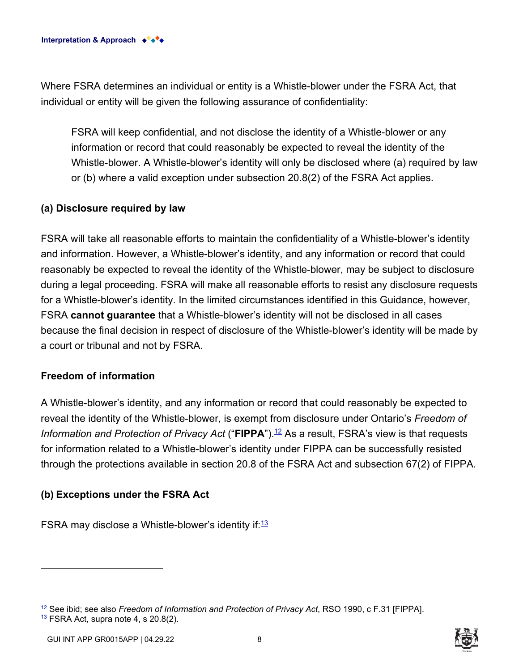Where FSRA determines an individual or entity is a Whistle-blower under the FSRA Act, that individual or entity will be given the following assurance of confidentiality:

FSRA will keep confidential, and not disclose the identity of a Whistle-blower or any information or record that could reasonably be expected to reveal the identity of the Whistle-blower. A Whistle-blower's identity will only be disclosed where (a) required by law or (b) where a valid exception under subsection 20.8(2) of the FSRA Act applies.

#### **(a) Disclosure required by law**

FSRA will take all reasonable efforts to maintain the confidentiality of a Whistle-blower's identity and information. However, a Whistle-blower's identity, and any information or record that could reasonably be expected to reveal the identity of the Whistle-blower, may be subject to disclosure during a legal proceeding. FSRA will make all reasonable efforts to resist any disclosure requests for a Whistle-blower's identity. In the limited circumstances identified in this Guidance, however, FSRA **cannot guarantee** that a Whistle-blower's identity will not be disclosed in all cases because the final decision in respect of disclosure of the Whistle-blower's identity will be made by a court or tribunal and not by FSRA.

#### **Freedom of information**

A Whistle-blower's identity, and any information or record that could reasonably be expected to reveal the identity of the Whistle-blower, is exempt from disclosure under Ontario's *Freedom of Information and Protection of Privacy Act* ("**FIPPA**").<sup>12</sup> As a result, FSRA's view is that requests for information related to a Whistle-blower's identity under FIPPA can be successfully resisted through the protections available in section 20.8 of the FSRA Act and subsection 67(2) of FIPPA.

#### **(b) Exceptions under the FSRA Act**

FSRA may disclose a Whistle-blower's identity if: $\frac{13}{2}$ 

<sup>12</sup> See ibid; see also *Freedom of Information and Protection of Privacy Act*, RSO 1990, c F.31 [FIPPA].  $13$  FSRA Act, supra note 4, s 20.8(2).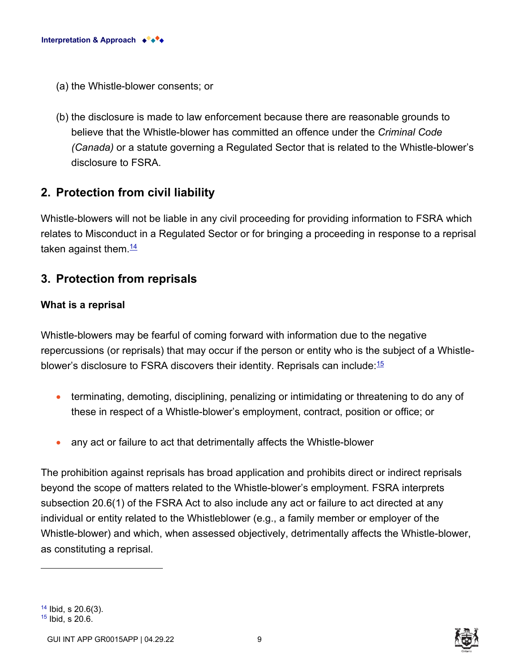- (a) the Whistle-blower consents; or
- (b) the disclosure is made to law enforcement because there are reasonable grounds to believe that the Whistle-blower has committed an offence under the *Criminal Code (Canada)* or a statute governing a Regulated Sector that is related to the Whistle-blower's disclosure to FSRA.

### **2. Protection from civil liability**

Whistle-blowers will not be liable in any civil proceeding for providing information to FSRA which relates to Misconduct in a Regulated Sector or for bringing a proceeding in response to a reprisal taken against them.  $\frac{14}{1}$ 

### **3. Protection from reprisals**

#### **What is a reprisal**

Whistle-blowers may be fearful of coming forward with information due to the negative repercussions (or reprisals) that may occur if the person or entity who is the subject of a Whistleblower's disclosure to FSRA discovers their identity. Reprisals can include:  $15$ 

- terminating, demoting, disciplining, penalizing or intimidating or threatening to do any of these in respect of a Whistle-blower's employment, contract, position or office; or
- any act or failure to act that detrimentally affects the Whistle-blower

The prohibition against reprisals has broad application and prohibits direct or indirect reprisals beyond the scope of matters related to the Whistle-blower's employment. FSRA interprets subsection 20.6(1) of the FSRA Act to also include any act or failure to act directed at any individual or entity related to the Whistleblower (e.g., a family member or employer of the Whistle-blower) and which, when assessed objectively, detrimentally affects the Whistle-blower, as constituting a reprisal.

 $14$  Ibid, s 20.6(3).  $15$  Ibid, s 20.6.



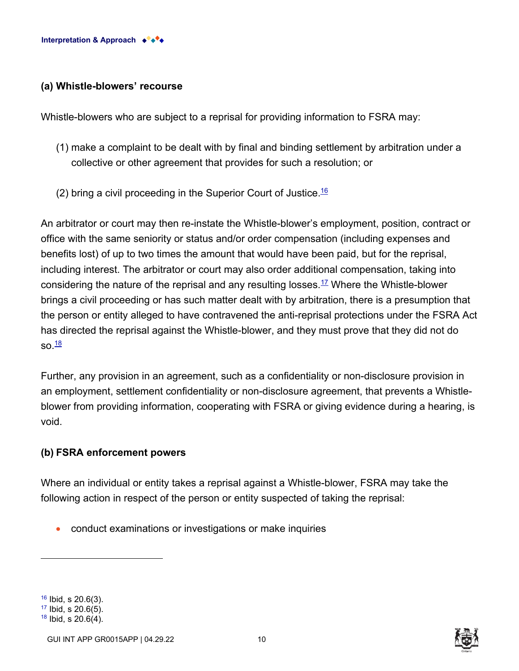#### **(a) Whistle-blowers' recourse**

Whistle-blowers who are subject to a reprisal for providing information to FSRA may:

- (1) make a complaint to be dealt with by final and binding settlement by arbitration under a collective or other agreement that provides for such a resolution; or
- (2) bring a civil proceeding in the Superior Court of Justice.<sup>16</sup>

An arbitrator or court may then re-instate the Whistle-blower's employment, position, contract or office with the same seniority or status and/or order compensation (including expenses and benefits lost) of up to two times the amount that would have been paid, but for the reprisal, including interest. The arbitrator or court may also order additional compensation, taking into considering the nature of the reprisal and any resulting losses.<sup>17</sup> Where the Whistle-blower brings a civil proceeding or has such matter dealt with by arbitration, there is a presumption that the person or entity alleged to have contravened the anti-reprisal protections under the FSRA Act has directed the reprisal against the Whistle-blower, and they must prove that they did not do  $\mathsf{so} \, \frac{18}{5}$ 

Further, any provision in an agreement, such as a confidentiality or non-disclosure provision in an employment, settlement confidentiality or non-disclosure agreement, that prevents a Whistleblower from providing information, cooperating with FSRA or giving evidence during a hearing, is void.

#### **(b) FSRA enforcement powers**

Where an individual or entity takes a reprisal against a Whistle-blower, FSRA may take the following action in respect of the person or entity suspected of taking the reprisal:

• conduct examinations or investigations or make inquiries

 $18$  Ibid, s 20.6(4).





 $16$  Ibid, s 20.6(3).  $17$  Ibid, s 20.6(5).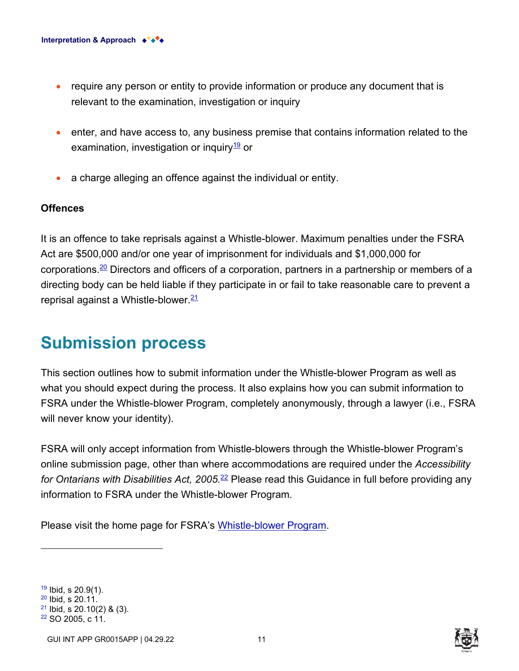- require any person or entity to provide information or produce any document that is relevant to the examination, investigation or inquiry
- enter, and have access to, any business premise that contains information related to the examination, investigation or inquiry $\frac{19}{12}$  or
- a charge alleging an offence against the individual or entity.

#### **Offences**

It is an offence to take reprisals against a Whistle-blower. Maximum penalties under the FSRA Act are \$500,000 and/or one year of imprisonment for individuals and \$1,000,000 for corporations.<sup>20</sup> Directors and officers of a corporation, partners in a partnership or members of a directing body can be held liable if they participate in or fail to take reasonable care to prevent a reprisal against a Whistle-blower  $\frac{21}{2}$ 

# **Submission process**

This section outlines how to submit information under the Whistle-blower Program as well as what you should expect during the process. It also explains how you can submit information to FSRA under the Whistle-blower Program, completely anonymously, through a lawyer (i.e., FSRA will never know your identity).

FSRA will only accept information from Whistle-blowers through the Whistle-blower Program's online submission page, other than where accommodations are required under the *Accessibility for Ontarians with Disabilities Act, 2005.*<sup>22</sup> Please read this Guidance in full before providing any information to FSRA under the Whistle-blower Program.

Please visit the home page for FSRA's [Whistle-blower Program.](https://www.fsrao.ca/fsras-whistle-blower-program)

 Ibid, s 20.9(1). Ibid, s 20.11. Ibid, s 20.10(2) & (3). SO 2005, c 11.

GUI INT APP GR0015APP | 04.29.22 11

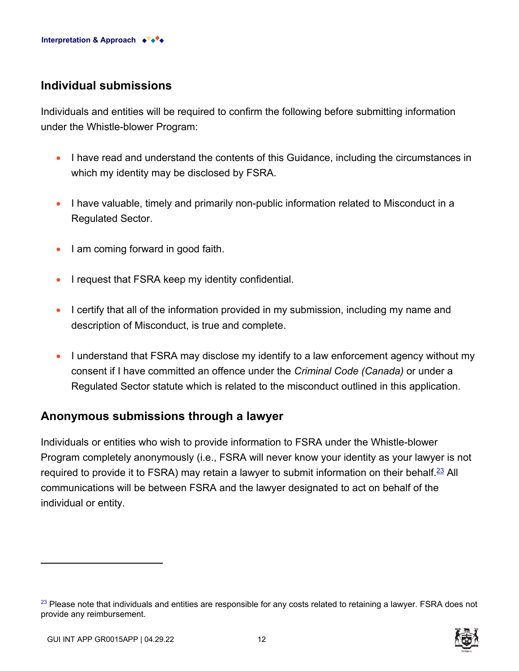### **Individual submissions**

Individuals and entities will be required to confirm the following before submitting information under the Whistle-blower Program:

- I have read and understand the contents of this Guidance, including the circumstances in which my identity may be disclosed by FSRA.
- I have valuable, timely and primarily non-public information related to Misconduct in a Regulated Sector.
- I am coming forward in good faith.
- I request that FSRA keep my identity confidential.
- I certify that all of the information provided in my submission, including my name and description of Misconduct, is true and complete.
- I understand that FSRA may disclose my identify to a law enforcement agency without my consent if I have committed an offence under the *Criminal Code (Canada)* or under a Regulated Sector statute which is related to the misconduct outlined in this application.

### **Anonymous submissions through a lawyer**

Individuals or entities who wish to provide information to FSRA under the Whistle-blower Program completely anonymously (i.e., FSRA will never know your identity as your lawyer is not required to provide it to FSRA) may retain a lawyer to submit information on their behalf.<sup>23</sup> All communications will be between FSRA and the lawyer designated to act on behalf of the individual or entity.

 $23$  Please note that individuals and entities are responsible for any costs related to retaining a lawyer. FSRA does not provide any reimbursement.

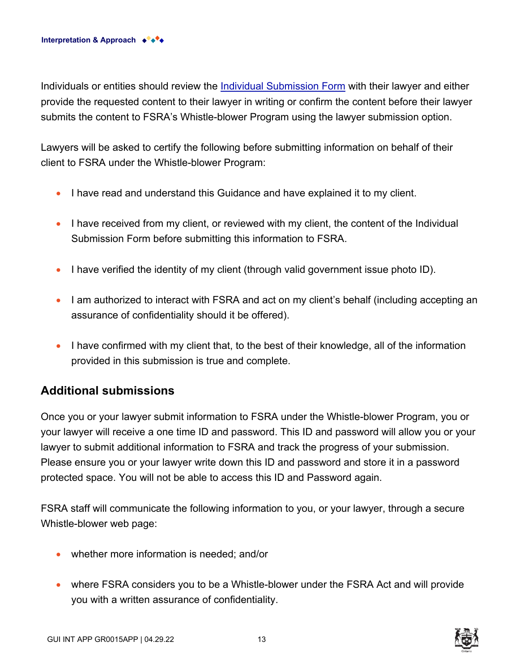Individuals or entities should review the [Individual Submission Form](https://www.fsrao.ca/media/9911/download) with their lawyer and either provide the requested content to their lawyer in writing or confirm the content before their lawyer submits the content to FSRA's Whistle-blower Program using the lawyer submission option.

Lawyers will be asked to certify the following before submitting information on behalf of their client to FSRA under the Whistle-blower Program:

- I have read and understand this Guidance and have explained it to my client.
- I have received from my client, or reviewed with my client, the content of the Individual Submission Form before submitting this information to FSRA.
- I have verified the identity of my client (through valid government issue photo ID).
- I am authorized to interact with FSRA and act on my client's behalf (including accepting an assurance of confidentiality should it be offered).
- I have confirmed with my client that, to the best of their knowledge, all of the information provided in this submission is true and complete.

### **Additional submissions**

Once you or your lawyer submit information to FSRA under the Whistle-blower Program, you or your lawyer will receive a one time ID and password. This ID and password will allow you or your lawyer to submit additional information to FSRA and track the progress of your submission. Please ensure you or your lawyer write down this ID and password and store it in a password protected space. You will not be able to access this ID and Password again.

FSRA staff will communicate the following information to you, or your lawyer, through a secure Whistle-blower web page:

- whether more information is needed; and/or
- where FSRA considers you to be a Whistle-blower under the FSRA Act and will provide you with a written assurance of confidentiality.

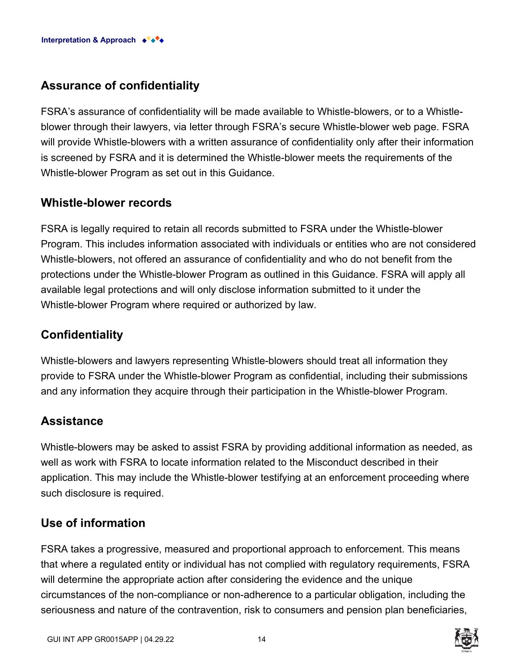# **Assurance of confidentiality**

FSRA's assurance of confidentiality will be made available to Whistle-blowers, or to a Whistleblower through their lawyers, via letter through FSRA's secure Whistle-blower web page. FSRA will provide Whistle-blowers with a written assurance of confidentiality only after their information is screened by FSRA and it is determined the Whistle-blower meets the requirements of the Whistle-blower Program as set out in this Guidance.

## **Whistle-blower records**

FSRA is legally required to retain all records submitted to FSRA under the Whistle-blower Program. This includes information associated with individuals or entities who are not considered Whistle-blowers, not offered an assurance of confidentiality and who do not benefit from the protections under the Whistle-blower Program as outlined in this Guidance. FSRA will apply all available legal protections and will only disclose information submitted to it under the Whistle-blower Program where required or authorized by law.

# **Confidentiality**

Whistle-blowers and lawyers representing Whistle-blowers should treat all information they provide to FSRA under the Whistle-blower Program as confidential, including their submissions and any information they acquire through their participation in the Whistle-blower Program.

## **Assistance**

Whistle-blowers may be asked to assist FSRA by providing additional information as needed, as well as work with FSRA to locate information related to the Misconduct described in their application. This may include the Whistle-blower testifying at an enforcement proceeding where such disclosure is required.

# **Use of information**

FSRA takes a progressive, measured and proportional approach to enforcement. This means that where a regulated entity or individual has not complied with regulatory requirements, FSRA will determine the appropriate action after considering the evidence and the unique circumstances of the non-compliance or non-adherence to a particular obligation, including the seriousness and nature of the contravention, risk to consumers and pension plan beneficiaries,